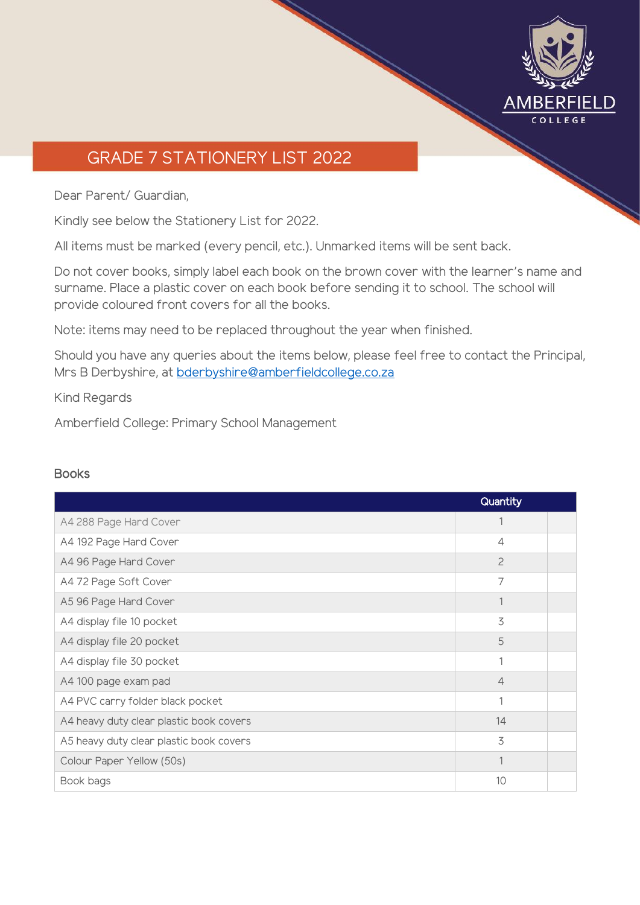

## GRADE 7 STATIONERY LIST 2022

Dear Parent/ Guardian,

Kindly see below the Stationery List for 2022.

All items must be marked (every pencil, etc.). Unmarked items will be sent back.

Do not cover books, simply label each book on the brown cover with the learner's name and surname. Place a plastic cover on each book before sending it to school. The school will provide coloured front covers for all the books.

Note: items may need to be replaced throughout the year when finished.

Should you have any queries about the items below, please feel free to contact the Principal, Mrs B Derbyshire, at [bderbyshire@amberfieldcollege.co.za](mailto:bderbyshire@amberfieldcollege.co.za)

Kind Regards

Amberfield College: Primary School Management

## Books

|                                         | Quantity       |  |
|-----------------------------------------|----------------|--|
| A4 288 Page Hard Cover                  |                |  |
| A4 192 Page Hard Cover                  | 4              |  |
| A4 96 Page Hard Cover                   | $\overline{c}$ |  |
| A4 72 Page Soft Cover                   | 7              |  |
| A5 96 Page Hard Cover                   |                |  |
| A4 display file 10 pocket               | 3              |  |
| A4 display file 20 pocket               | 5              |  |
| A4 display file 30 pocket               | 1              |  |
| A4 100 page exam pad                    | $\overline{4}$ |  |
| A4 PVC carry folder black pocket        | 1              |  |
| A4 heavy duty clear plastic book covers | 14             |  |
| A5 heavy duty clear plastic book covers | 3              |  |
| Colour Paper Yellow (50s)               | 1              |  |
| Book bags                               | 10             |  |